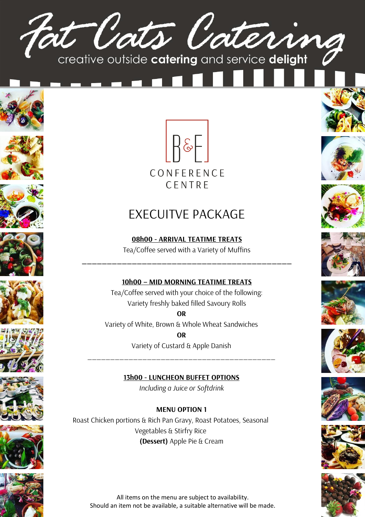





















# EXECUITVE PACKAGE

**08h00 - ARRIVAL TEATIME TREATS** Tea/Coffee served with a Variety of Muffins

**\_\_\_\_\_\_\_\_\_\_\_\_\_\_\_\_\_\_\_\_\_\_\_\_\_\_\_\_\_\_\_\_\_\_\_\_\_\_\_\_\_\_**

## **10h00 – MID MORNING TEATIME TREATS**

Tea/Coffee served with your choice of the following: Variety freshly baked filled Savoury Rolls

**OR** Variety of White, Brown & Whole Wheat Sandwiches **OR**

Variety of Custard & Apple Danish

\_\_\_\_\_\_\_\_\_\_\_\_\_\_\_\_\_\_\_\_\_\_\_\_\_\_\_\_\_\_\_\_\_\_\_\_\_\_\_\_\_

**13h00 - LUNCHEON BUFFET OPTIONS**

*Including a Juice or Softdrink*

## **MENU OPTION 1**

Roast Chicken portions & Rich Pan Gravy, Roast Potatoes, Seasonal Vegetables & Stirfry Rice **(Dessert)** Apple Pie & Cream



















All items on the menu are subject to availability. Should an item not be available, a suitable alternative will be made.